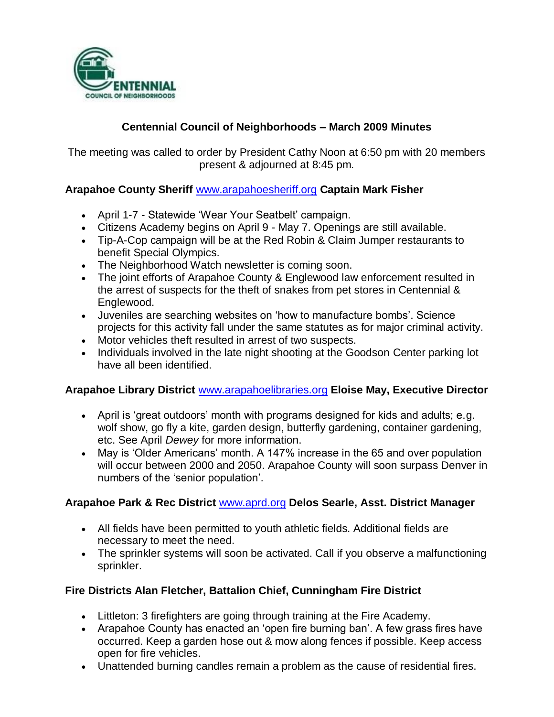

# **Centennial Council of Neighborhoods – March 2009 Minutes**

The meeting was called to order by President Cathy Noon at 6:50 pm with 20 members present & adjourned at 8:45 pm.

## **Arapahoe County Sheriff** [www.arapahoesheriff.org](http://www.arapahoesheriff.org/) **Captain Mark Fisher**

- April 1-7 Statewide 'Wear Your Seatbelt' campaign.
- Citizens Academy begins on April 9 May 7. Openings are still available.
- Tip-A-Cop campaign will be at the Red Robin & Claim Jumper restaurants to benefit Special Olympics.
- The Neighborhood Watch newsletter is coming soon.
- The joint efforts of Arapahoe County & Englewood law enforcement resulted in the arrest of suspects for the theft of snakes from pet stores in Centennial & Englewood.
- Juveniles are searching websites on 'how to manufacture bombs'. Science projects for this activity fall under the same statutes as for major criminal activity.
- Motor vehicles theft resulted in arrest of two suspects.
- Individuals involved in the late night shooting at the Goodson Center parking lot have all been identified.

## **Arapahoe Library District** [www.arapahoelibraries.org](http://www.arapahoelibraries.org/) **Eloise May, Executive Director**

- April is 'great outdoors' month with programs designed for kids and adults; e.g. wolf show, go fly a kite, garden design, butterfly gardening, container gardening, etc. See April *Dewey* for more information.
- May is 'Older Americans' month. A 147% increase in the 65 and over population will occur between 2000 and 2050. Arapahoe County will soon surpass Denver in numbers of the 'senior population'.

## **Arapahoe Park & Rec District** [www.aprd.org](http://www.aprd.org/) **Delos Searle, Asst. District Manager**

- All fields have been permitted to youth athletic fields. Additional fields are necessary to meet the need.
- The sprinkler systems will soon be activated. Call if you observe a malfunctioning sprinkler.

# **Fire Districts Alan Fletcher, Battalion Chief, Cunningham Fire District**

- Littleton: 3 firefighters are going through training at the Fire Academy.
- Arapahoe County has enacted an 'open fire burning ban'. A few grass fires have occurred. Keep a garden hose out & mow along fences if possible. Keep access open for fire vehicles.
- Unattended burning candles remain a problem as the cause of residential fires.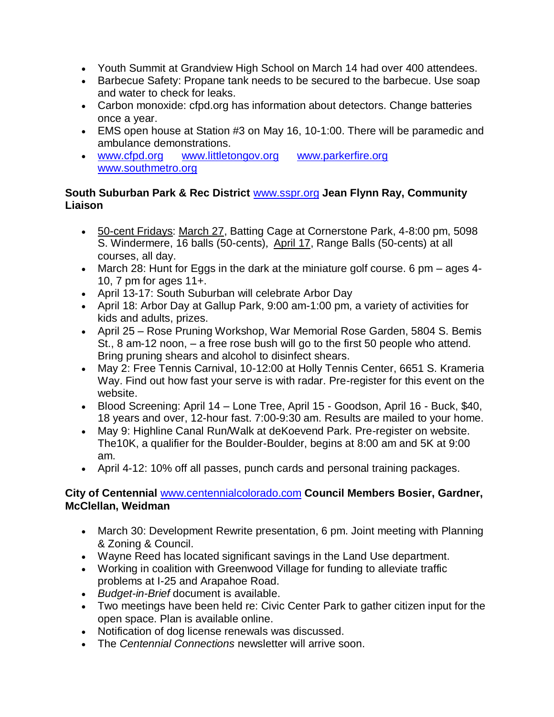- Youth Summit at Grandview High School on March 14 had over 400 attendees.
- Barbecue Safety: Propane tank needs to be secured to the barbecue. Use soap and water to check for leaks.
- Carbon monoxide: cfpd.org has information about detectors. Change batteries once a year.
- EMS open house at Station #3 on May 16, 10-1:00. There will be paramedic and ambulance demonstrations.
- [www.cfpd.org](http://www.cfpd.org/) [www.littletongov.org](http://www.littletongov.org/) [www.parkerfire.org](http://www.parkerfire.org/)  [www.southmetro.org](http://www.southmetro.org/)

#### **South Suburban Park & Rec District** [www.sspr.org](http://www.sspr.org/) **Jean Flynn Ray, Community Liaison**

- 50-cent Fridays: March 27, Batting Cage at Cornerstone Park, 4-8:00 pm, 5098 S. Windermere, 16 balls (50-cents), April 17, Range Balls (50-cents) at all courses, all day.
- March 28: Hunt for Eggs in the dark at the miniature golf course. 6 pm ages 4-10, 7 pm for ages 11+.
- April 13-17: South Suburban will celebrate Arbor Day
- April 18: Arbor Day at Gallup Park, 9:00 am-1:00 pm, a variety of activities for kids and adults, prizes.
- April 25 Rose Pruning Workshop, War Memorial Rose Garden, 5804 S. Bemis St., 8 am-12 noon, – a free rose bush will go to the first 50 people who attend. Bring pruning shears and alcohol to disinfect shears.
- May 2: Free Tennis Carnival, 10-12:00 at Holly Tennis Center, 6651 S. Krameria Way. Find out how fast your serve is with radar. Pre-register for this event on the website.
- Blood Screening: April 14 Lone Tree, April 15 Goodson, April 16 Buck, \$40, 18 years and over, 12-hour fast. 7:00-9:30 am. Results are mailed to your home.
- May 9: Highline Canal Run/Walk at deKoevend Park. Pre-register on website. The10K, a qualifier for the Boulder-Boulder, begins at 8:00 am and 5K at 9:00 am.
- April 4-12: 10% off all passes, punch cards and personal training packages.

## **City of Centennial** [www.centennialcolorado.com](http://www.centennialcolorado.com/) **Council Members Bosier, Gardner, McClellan, Weidman**

- March 30: Development Rewrite presentation, 6 pm. Joint meeting with Planning & Zoning & Council.
- Wayne Reed has located significant savings in the Land Use department.
- Working in coalition with Greenwood Village for funding to alleviate traffic problems at I-25 and Arapahoe Road.
- *Budget-in-Brief* document is available.
- Two meetings have been held re: Civic Center Park to gather citizen input for the open space. Plan is available online.
- Notification of dog license renewals was discussed.
- The *Centennial Connections* newsletter will arrive soon.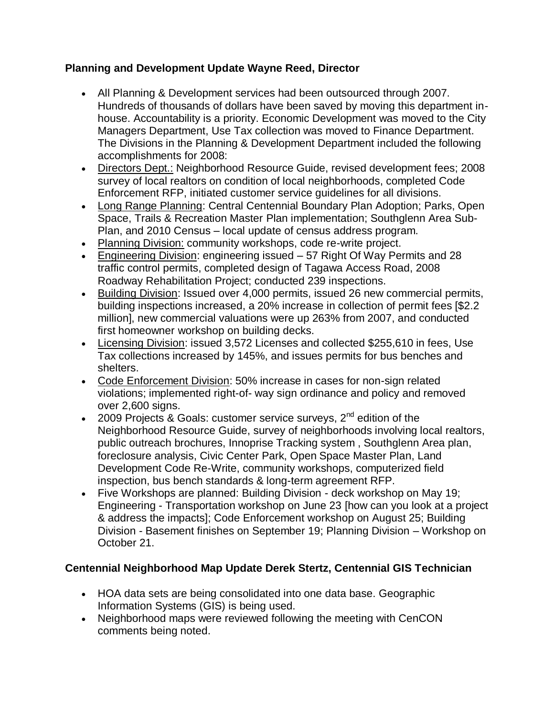## **Planning and Development Update Wayne Reed, Director**

- All Planning & Development services had been outsourced through 2007. Hundreds of thousands of dollars have been saved by moving this department inhouse. Accountability is a priority. Economic Development was moved to the City Managers Department, Use Tax collection was moved to Finance Department. The Divisions in the Planning & Development Department included the following accomplishments for 2008:
- Directors Dept.: Neighborhood Resource Guide, revised development fees; 2008 survey of local realtors on condition of local neighborhoods, completed Code Enforcement RFP, initiated customer service guidelines for all divisions.
- Long Range Planning: Central Centennial Boundary Plan Adoption; Parks, Open Space, Trails & Recreation Master Plan implementation; Southglenn Area Sub-Plan, and 2010 Census – local update of census address program.
- Planning Division: community workshops, code re-write project.
- Engineering Division: engineering issued 57 Right Of Way Permits and 28 traffic control permits, completed design of Tagawa Access Road, 2008 Roadway Rehabilitation Project; conducted 239 inspections.
- Building Division: Issued over 4,000 permits, issued 26 new commercial permits, building inspections increased, a 20% increase in collection of permit fees [\$2.2 million], new commercial valuations were up 263% from 2007, and conducted first homeowner workshop on building decks.
- Licensing Division: issued 3,572 Licenses and collected \$255,610 in fees, Use Tax collections increased by 145%, and issues permits for bus benches and shelters.
- Code Enforcement Division: 50% increase in cases for non-sign related violations; implemented right-of- way sign ordinance and policy and removed over 2,600 signs.
- 2009 Projects & Goals: customer service surveys, 2<sup>nd</sup> edition of the Neighborhood Resource Guide, survey of neighborhoods involving local realtors, public outreach brochures, Innoprise Tracking system , Southglenn Area plan, foreclosure analysis, Civic Center Park, Open Space Master Plan, Land Development Code Re-Write, community workshops, computerized field inspection, bus bench standards & long-term agreement RFP.
- Five Workshops are planned: Building Division deck workshop on May 19; Engineering - Transportation workshop on June 23 [how can you look at a project & address the impacts]; Code Enforcement workshop on August 25; Building Division - Basement finishes on September 19; Planning Division – Workshop on October 21.

# **Centennial Neighborhood Map Update Derek Stertz, Centennial GIS Technician**

- HOA data sets are being consolidated into one data base. Geographic Information Systems (GIS) is being used.
- Neighborhood maps were reviewed following the meeting with CenCON comments being noted.